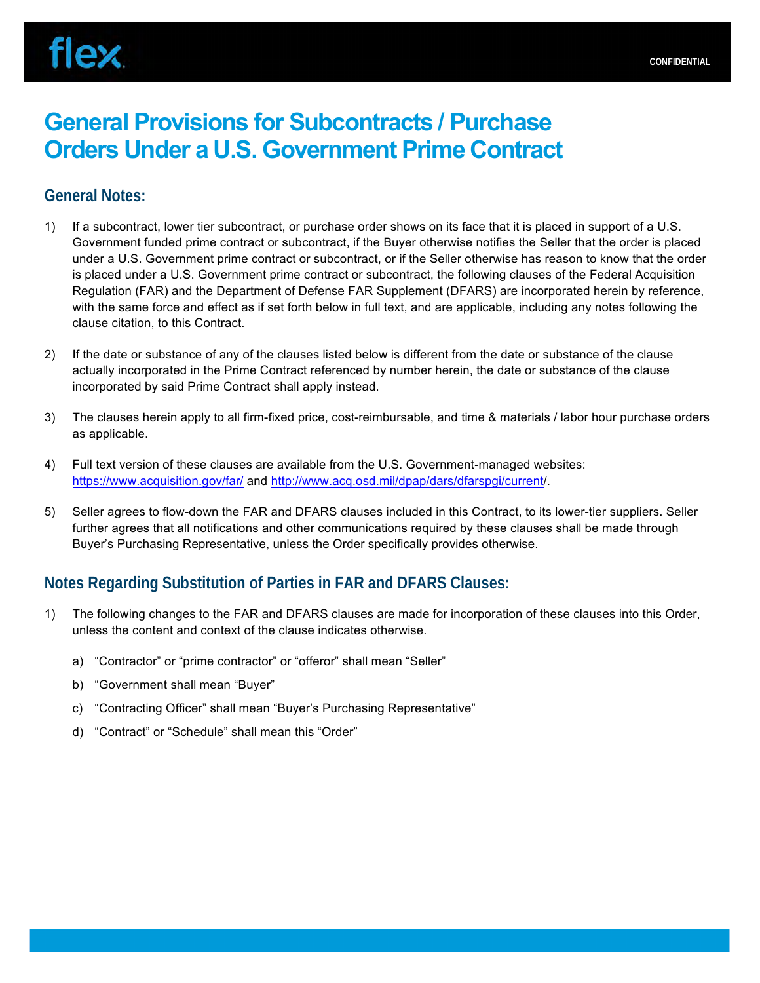# **General Provisions for Subcontracts / Purchase Orders Under a U.S. Government Prime Contract**

### **General Notes:**

- 1) If a subcontract, lower tier subcontract, or purchase order shows on its face that it is placed in support of a U.S. Government funded prime contract or subcontract, if the Buyer otherwise notifies the Seller that the order is placed under a U.S. Government prime contract or subcontract, or if the Seller otherwise has reason to know that the order is placed under a U.S. Government prime contract or subcontract, the following clauses of the Federal Acquisition Regulation (FAR) and the Department of Defense FAR Supplement (DFARS) are incorporated herein by reference, with the same force and effect as if set forth below in full text, and are applicable, including any notes following the clause citation, to this Contract.
- 2) If the date or substance of any of the clauses listed below is different from the date or substance of the clause actually incorporated in the Prime Contract referenced by number herein, the date or substance of the clause incorporated by said Prime Contract shall apply instead.
- 3) The clauses herein apply to all firm-fixed price, cost-reimbursable, and time & materials / labor hour purchase orders as applicable.
- 4) Full text version of these clauses are available from the U.S. Government-managed websites: https://www.acquisition.gov/far/ and http://www.acq.osd.mil/dpap/dars/dfarspgi/current/.
- 5) Seller agrees to flow-down the FAR and DFARS clauses included in this Contract, to its lower-tier suppliers. Seller further agrees that all notifications and other communications required by these clauses shall be made through Buyer's Purchasing Representative, unless the Order specifically provides otherwise.

## **Notes Regarding Substitution of Parties in FAR and DFARS Clauses:**

- 1) The following changes to the FAR and DFARS clauses are made for incorporation of these clauses into this Order, unless the content and context of the clause indicates otherwise.
	- a) "Contractor" or "prime contractor" or "offeror" shall mean "Seller"
	- b) "Government shall mean "Buyer"
	- c) "Contracting Officer" shall mean "Buyer's Purchasing Representative"
	- d) "Contract" or "Schedule" shall mean this "Order"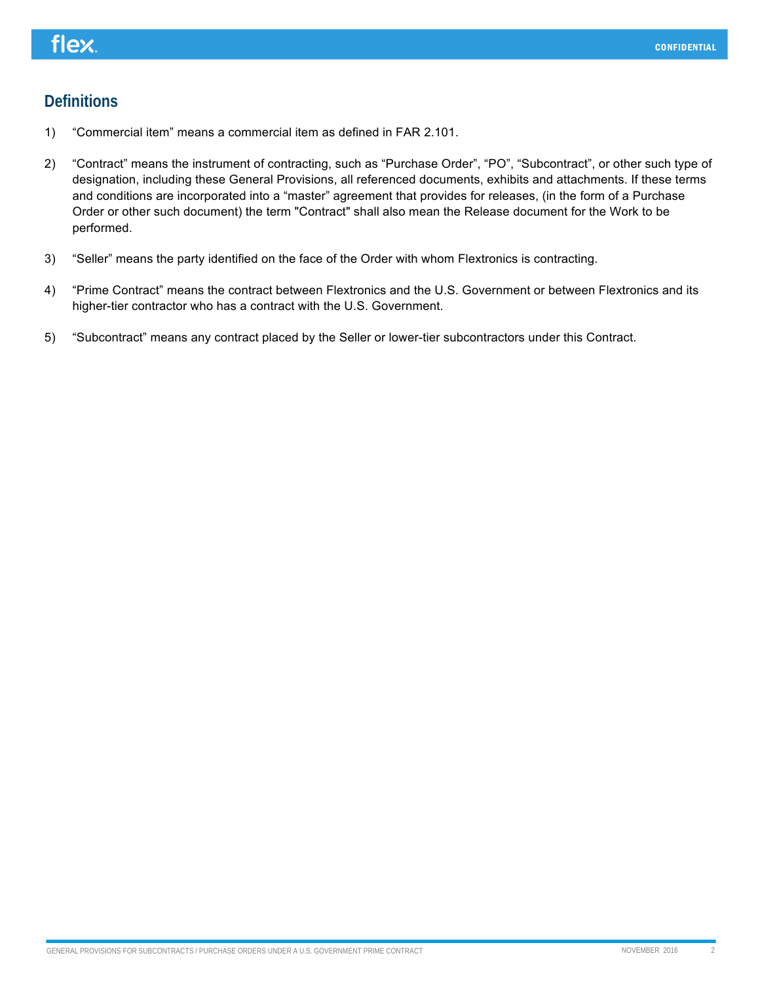## **Definitions**

- 1) "Commercial item" means a commercial item as defined in FAR 2.101.
- 2) "Contract" means the instrument of contracting, such as "Purchase Order", "PO", "Subcontract", or other such type of designation, including these General Provisions, all referenced documents, exhibits and attachments. If these terms and conditions are incorporated into a "master" agreement that provides for releases, (in the form of a Purchase Order or other such document) the term "Contract" shall also mean the Release document for the Work to be performed.
- 3) "Seller" means the party identified on the face of the Order with whom Flextronics is contracting.
- 4) "Prime Contract" means the contract between Flextronics and the U.S. Government or between Flextronics and its higher-tier contractor who has a contract with the U.S. Government.
- 5) "Subcontract" means any contract placed by the Seller or lower-tier subcontractors under this Contract.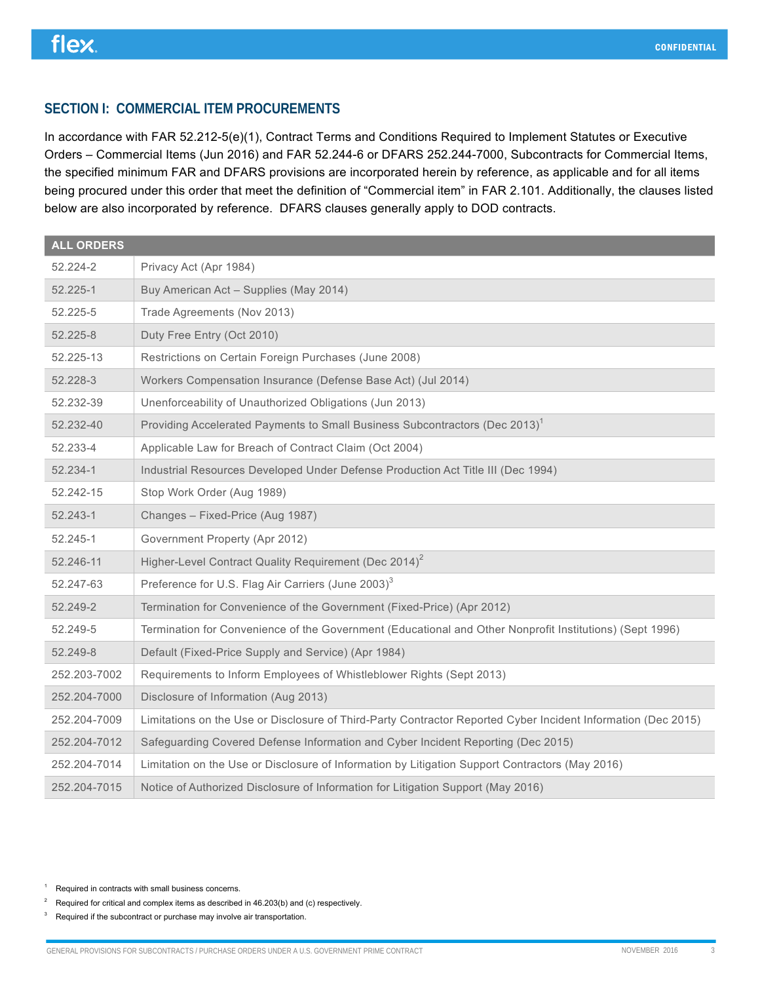### **SECTION I: COMMERCIAL ITEM PROCUREMENTS**

In accordance with FAR 52.212-5(e)(1), Contract Terms and Conditions Required to Implement Statutes or Executive Orders – Commercial Items (Jun 2016) and FAR 52.244-6 or DFARS 252.244-7000, Subcontracts for Commercial Items, the specified minimum FAR and DFARS provisions are incorporated herein by reference, as applicable and for all items being procured under this order that meet the definition of "Commercial item" in FAR 2.101. Additionally, the clauses listed below are also incorporated by reference. DFARS clauses generally apply to DOD contracts.

| ALL ORDERS   |                                                                                                               |
|--------------|---------------------------------------------------------------------------------------------------------------|
| 52.224-2     | Privacy Act (Apr 1984)                                                                                        |
| 52.225-1     | Buy American Act - Supplies (May 2014)                                                                        |
| 52.225-5     | Trade Agreements (Nov 2013)                                                                                   |
| 52.225-8     | Duty Free Entry (Oct 2010)                                                                                    |
| 52.225-13    | Restrictions on Certain Foreign Purchases (June 2008)                                                         |
| 52.228-3     | Workers Compensation Insurance (Defense Base Act) (Jul 2014)                                                  |
| 52.232-39    | Unenforceability of Unauthorized Obligations (Jun 2013)                                                       |
| 52.232-40    | Providing Accelerated Payments to Small Business Subcontractors (Dec 2013) <sup>1</sup>                       |
| 52.233-4     | Applicable Law for Breach of Contract Claim (Oct 2004)                                                        |
| 52.234-1     | Industrial Resources Developed Under Defense Production Act Title III (Dec 1994)                              |
| 52.242-15    | Stop Work Order (Aug 1989)                                                                                    |
| 52.243-1     | Changes - Fixed-Price (Aug 1987)                                                                              |
| 52.245-1     | Government Property (Apr 2012)                                                                                |
| 52.246-11    | Higher-Level Contract Quality Requirement (Dec 2014) <sup>2</sup>                                             |
| 52.247-63    | Preference for U.S. Flag Air Carriers (June 2003) <sup>3</sup>                                                |
| 52.249-2     | Termination for Convenience of the Government (Fixed-Price) (Apr 2012)                                        |
| 52.249-5     | Termination for Convenience of the Government (Educational and Other Nonprofit Institutions) (Sept 1996)      |
| 52.249-8     | Default (Fixed-Price Supply and Service) (Apr 1984)                                                           |
| 252.203-7002 | Requirements to Inform Employees of Whistleblower Rights (Sept 2013)                                          |
| 252.204-7000 | Disclosure of Information (Aug 2013)                                                                          |
| 252.204-7009 | Limitations on the Use or Disclosure of Third-Party Contractor Reported Cyber Incident Information (Dec 2015) |
| 252.204-7012 | Safeguarding Covered Defense Information and Cyber Incident Reporting (Dec 2015)                              |
| 252.204-7014 | Limitation on the Use or Disclosure of Information by Litigation Support Contractors (May 2016)               |
| 252.204-7015 | Notice of Authorized Disclosure of Information for Litigation Support (May 2016)                              |

<sup>1</sup> Required in contracts with small business concerns.

<sup>3</sup> Required if the subcontract or purchase may involve air transportation.

<sup>&</sup>lt;sup>2</sup> Required for critical and complex items as described in  $46.203(b)$  and (c) respectively.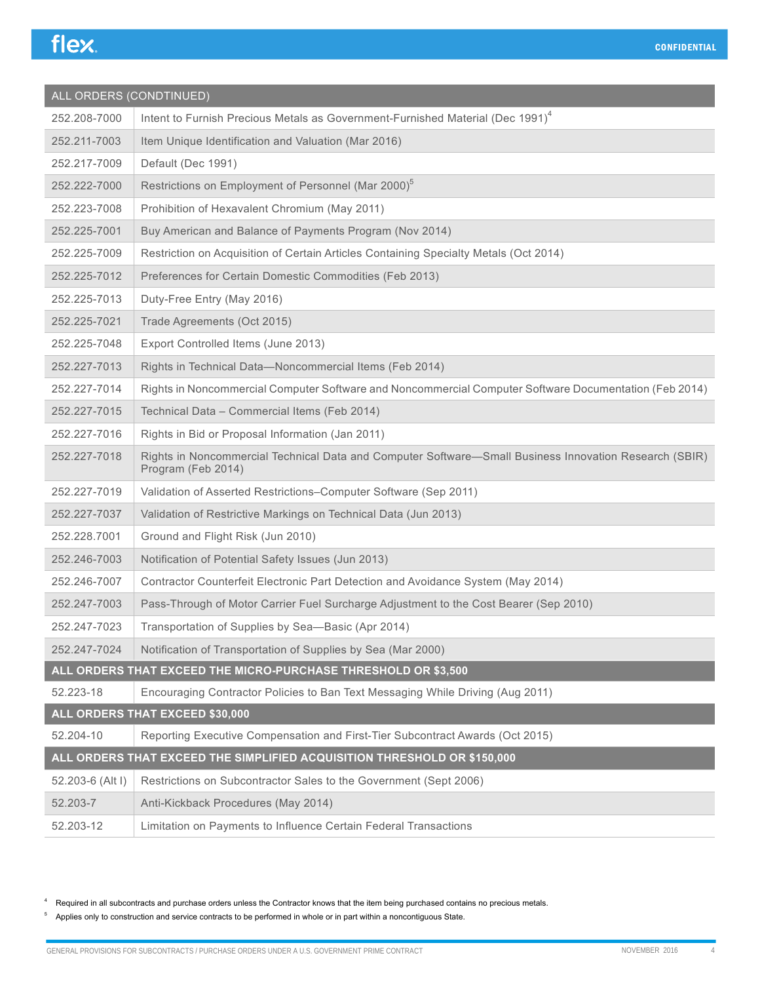| ALL ORDERS (CONDTINUED) |                                                                                                                              |  |
|-------------------------|------------------------------------------------------------------------------------------------------------------------------|--|
| 252.208-7000            | Intent to Furnish Precious Metals as Government-Furnished Material (Dec 1991) <sup>4</sup>                                   |  |
| 252.211-7003            | Item Unique Identification and Valuation (Mar 2016)                                                                          |  |
| 252.217-7009            | Default (Dec 1991)                                                                                                           |  |
| 252.222-7000            | Restrictions on Employment of Personnel (Mar 2000) <sup>5</sup>                                                              |  |
| 252.223-7008            | Prohibition of Hexavalent Chromium (May 2011)                                                                                |  |
| 252.225-7001            | Buy American and Balance of Payments Program (Nov 2014)                                                                      |  |
| 252.225-7009            | Restriction on Acquisition of Certain Articles Containing Specialty Metals (Oct 2014)                                        |  |
| 252.225-7012            | Preferences for Certain Domestic Commodities (Feb 2013)                                                                      |  |
| 252.225-7013            | Duty-Free Entry (May 2016)                                                                                                   |  |
| 252.225-7021            | Trade Agreements (Oct 2015)                                                                                                  |  |
| 252.225-7048            | Export Controlled Items (June 2013)                                                                                          |  |
| 252.227-7013            | Rights in Technical Data-Noncommercial Items (Feb 2014)                                                                      |  |
| 252.227-7014            | Rights in Noncommercial Computer Software and Noncommercial Computer Software Documentation (Feb 2014)                       |  |
| 252.227-7015            | Technical Data - Commercial Items (Feb 2014)                                                                                 |  |
| 252.227-7016            | Rights in Bid or Proposal Information (Jan 2011)                                                                             |  |
| 252.227-7018            | Rights in Noncommercial Technical Data and Computer Software-Small Business Innovation Research (SBIR)<br>Program (Feb 2014) |  |
| 252.227-7019            | Validation of Asserted Restrictions-Computer Software (Sep 2011)                                                             |  |
| 252.227-7037            | Validation of Restrictive Markings on Technical Data (Jun 2013)                                                              |  |
| 252.228.7001            | Ground and Flight Risk (Jun 2010)                                                                                            |  |
| 252.246-7003            | Notification of Potential Safety Issues (Jun 2013)                                                                           |  |
| 252.246-7007            | Contractor Counterfeit Electronic Part Detection and Avoidance System (May 2014)                                             |  |
| 252.247-7003            | Pass-Through of Motor Carrier Fuel Surcharge Adjustment to the Cost Bearer (Sep 2010)                                        |  |
| 252.247-7023            | Transportation of Supplies by Sea-Basic (Apr 2014)                                                                           |  |
| 252.247-7024            | Notification of Transportation of Supplies by Sea (Mar 2000)                                                                 |  |
|                         | ALL ORDERS THAT EXCEED THE MICRO-PURCHASE THRESHOLD OR \$3,500                                                               |  |
| 52.223-18               | Encouraging Contractor Policies to Ban Text Messaging While Driving (Aug 2011)                                               |  |
|                         | ALL ORDERS THAT EXCEED \$30,000                                                                                              |  |
| 52.204-10               | Reporting Executive Compensation and First-Tier Subcontract Awards (Oct 2015)                                                |  |
|                         | ALL ORDERS THAT EXCEED THE SIMPLIFIED ACQUISITION THRESHOLD OR \$150,000                                                     |  |
| 52.203-6 (Alt I)        | Restrictions on Subcontractor Sales to the Government (Sept 2006)                                                            |  |
| 52.203-7                | Anti-Kickback Procedures (May 2014)                                                                                          |  |
| 52.203-12               | Limitation on Payments to Influence Certain Federal Transactions                                                             |  |

<sup>4</sup> Required in all subcontracts and purchase orders unless the Contractor knows that the item being purchased contains no precious metals.

<sup>5</sup> Applies only to construction and service contracts to be performed in whole or in part within a noncontiguous State.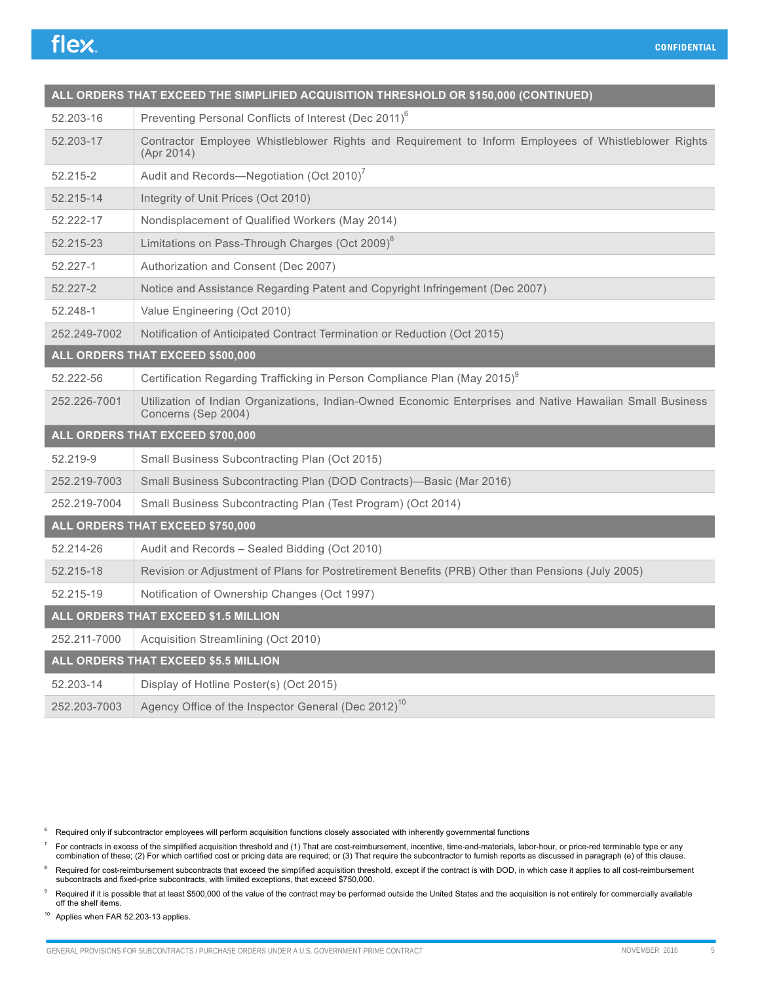| ALL ORDERS THAT EXCEED THE SIMPLIFIED ACQUISITION THRESHOLD OR \$150,000 (CONTINUED) |                                                                                                                                  |  |
|--------------------------------------------------------------------------------------|----------------------------------------------------------------------------------------------------------------------------------|--|
| 52.203-16                                                                            | Preventing Personal Conflicts of Interest (Dec 2011) <sup>6</sup>                                                                |  |
| 52.203-17                                                                            | Contractor Employee Whistleblower Rights and Requirement to Inform Employees of Whistleblower Rights<br>(Apr 2014)               |  |
| 52.215-2                                                                             | Audit and Records-Negotiation (Oct 2010)                                                                                         |  |
| 52.215-14                                                                            | Integrity of Unit Prices (Oct 2010)                                                                                              |  |
| 52.222-17                                                                            | Nondisplacement of Qualified Workers (May 2014)                                                                                  |  |
| 52.215-23                                                                            | Limitations on Pass-Through Charges (Oct 2009) <sup>8</sup>                                                                      |  |
| 52.227-1                                                                             | Authorization and Consent (Dec 2007)                                                                                             |  |
| 52.227-2                                                                             | Notice and Assistance Regarding Patent and Copyright Infringement (Dec 2007)                                                     |  |
| 52.248-1                                                                             | Value Engineering (Oct 2010)                                                                                                     |  |
| 252.249-7002                                                                         | Notification of Anticipated Contract Termination or Reduction (Oct 2015)                                                         |  |
| ALL ORDERS THAT EXCEED \$500,000                                                     |                                                                                                                                  |  |
| 52.222-56                                                                            | Certification Regarding Trafficking in Person Compliance Plan (May 2015) <sup>9</sup>                                            |  |
| 252.226-7001                                                                         | Utilization of Indian Organizations, Indian-Owned Economic Enterprises and Native Hawaiian Small Business<br>Concerns (Sep 2004) |  |
|                                                                                      | ALL ORDERS THAT EXCEED \$700,000                                                                                                 |  |
| 52.219-9                                                                             | Small Business Subcontracting Plan (Oct 2015)                                                                                    |  |
| 252.219-7003                                                                         | Small Business Subcontracting Plan (DOD Contracts)-Basic (Mar 2016)                                                              |  |
| 252.219-7004                                                                         | Small Business Subcontracting Plan (Test Program) (Oct 2014)                                                                     |  |
| ALL ORDERS THAT EXCEED \$750,000                                                     |                                                                                                                                  |  |
| 52.214-26                                                                            | Audit and Records - Sealed Bidding (Oct 2010)                                                                                    |  |
| 52.215-18                                                                            | Revision or Adjustment of Plans for Postretirement Benefits (PRB) Other than Pensions (July 2005)                                |  |
| 52.215-19                                                                            | Notification of Ownership Changes (Oct 1997)                                                                                     |  |
|                                                                                      | ALL ORDERS THAT EXCEED \$1.5 MILLION                                                                                             |  |
| 252.211-7000                                                                         | Acquisition Streamlining (Oct 2010)                                                                                              |  |
|                                                                                      | ALL ORDERS THAT EXCEED \$5.5 MILLION                                                                                             |  |
| 52.203-14                                                                            | Display of Hotline Poster(s) (Oct 2015)                                                                                          |  |
| 252.203-7003                                                                         | Agency Office of the Inspector General (Dec 2012) <sup>10</sup>                                                                  |  |

<sup>6</sup> Required only if subcontractor employees will perform acquisition functions closely associated with inherently governmental functions

For contracts in excess of the simplified acquisition threshold and (1) That are cost-reimbursement, incentive, time-and-materials, labor-hour, or price-red terminable type or any<br>combination of these; (2) For which certif

<sup>8</sup> Required for cost-reimbursement subcontracts that exceed the simplified acquisition threshold, except if the contract is with DOD, in which case it applies to all cost-reimbursement<br>subcontracts and fixed-price subcont

Required if it is possible that at least \$500,000 of the value of the contract may be performed outside the United States and the acquisition is not entirely for commercially available off the shelf items.

<sup>10</sup> Applies when FAR 52.203-13 applies.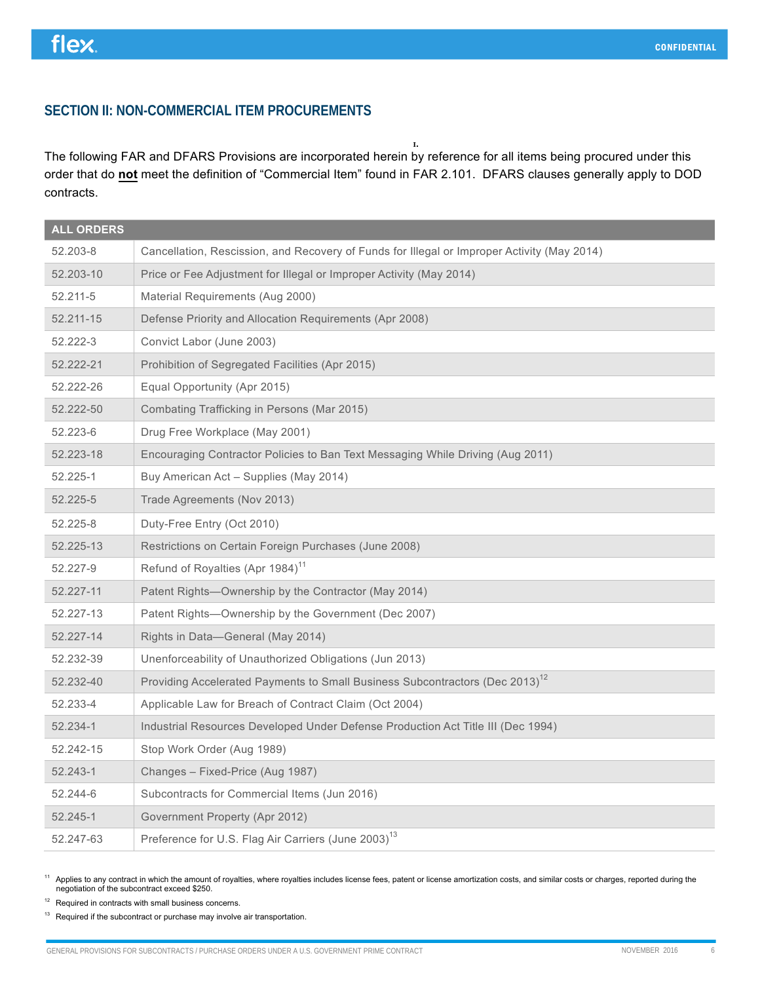### **SECTION II: NON-COMMERCIAL ITEM PROCUREMENTS**

**1.** The following FAR and DFARS Provisions are incorporated herein by reference for all items being procured under this order that do **not** meet the definition of "Commercial Item" found in FAR 2.101. DFARS clauses generally apply to DOD contracts.

| <b>ALL ORDERS</b> |                                                                                             |
|-------------------|---------------------------------------------------------------------------------------------|
| 52.203-8          | Cancellation, Rescission, and Recovery of Funds for Illegal or Improper Activity (May 2014) |
| 52.203-10         | Price or Fee Adjustment for Illegal or Improper Activity (May 2014)                         |
| 52.211-5          | Material Requirements (Aug 2000)                                                            |
| 52.211-15         | Defense Priority and Allocation Requirements (Apr 2008)                                     |
| 52.222-3          | Convict Labor (June 2003)                                                                   |
| 52.222-21         | Prohibition of Segregated Facilities (Apr 2015)                                             |
| 52.222-26         | Equal Opportunity (Apr 2015)                                                                |
| 52.222-50         | Combating Trafficking in Persons (Mar 2015)                                                 |
| 52.223-6          | Drug Free Workplace (May 2001)                                                              |
| 52.223-18         | Encouraging Contractor Policies to Ban Text Messaging While Driving (Aug 2011)              |
| 52.225-1          | Buy American Act – Supplies (May 2014)                                                      |
| 52.225-5          | Trade Agreements (Nov 2013)                                                                 |
| 52.225-8          | Duty-Free Entry (Oct 2010)                                                                  |
| 52.225-13         | Restrictions on Certain Foreign Purchases (June 2008)                                       |
| 52.227-9          | Refund of Royalties (Apr 1984) <sup>11</sup>                                                |
| 52.227-11         | Patent Rights-Ownership by the Contractor (May 2014)                                        |
| 52.227-13         | Patent Rights-Ownership by the Government (Dec 2007)                                        |
| 52.227-14         | Rights in Data-General (May 2014)                                                           |
| 52.232-39         | Unenforceability of Unauthorized Obligations (Jun 2013)                                     |
| 52.232-40         | Providing Accelerated Payments to Small Business Subcontractors (Dec 2013) <sup>12</sup>    |
| 52.233-4          | Applicable Law for Breach of Contract Claim (Oct 2004)                                      |
| 52.234-1          | Industrial Resources Developed Under Defense Production Act Title III (Dec 1994)            |
| 52.242-15         | Stop Work Order (Aug 1989)                                                                  |
| 52.243-1          | Changes - Fixed-Price (Aug 1987)                                                            |
| 52.244-6          | Subcontracts for Commercial Items (Jun 2016)                                                |
| 52.245-1          | Government Property (Apr 2012)                                                              |
| 52.247-63         | Preference for U.S. Flag Air Carriers (June 2003) <sup>13</sup>                             |

<sup>11</sup> Applies to any contract in which the amount of royalties, where royalties includes license fees, patent or license amortization costs, and similar costs or charges, reported during the negotiation of the subcontract e

 $12$  Required in contracts with small business concerns.

 $13$  Required if the subcontract or purchase may involve air transportation.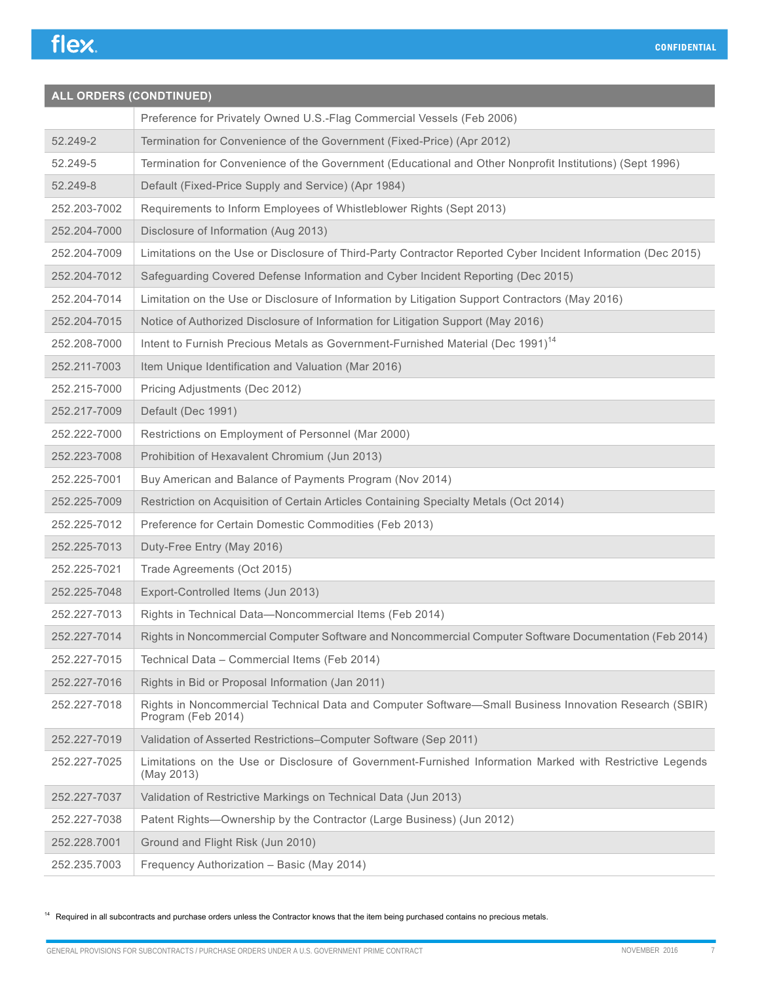## **ALL ORDERS (CONDTINUED)** Preference for Privately Owned U.S.-Flag Commercial Vessels (Feb 2006) 52.249-2 Termination for Convenience of the Government (Fixed-Price) (Apr 2012) 52.249-5 Termination for Convenience of the Government (Educational and Other Nonprofit Institutions) (Sept 1996) 52.249-8 Default (Fixed-Price Supply and Service) (Apr 1984) 252.203-7002 Requirements to Inform Employees of Whistleblower Rights (Sept 2013) 252.204-7000 Disclosure of Information (Aug 2013) 252.204-7009 Limitations on the Use or Disclosure of Third-Party Contractor Reported Cyber Incident Information (Dec 2015) 252.204-7012 Safeguarding Covered Defense Information and Cyber Incident Reporting (Dec 2015) 252.204-7014 Limitation on the Use or Disclosure of Information by Litigation Support Contractors (May 2016) 252.204-7015 Notice of Authorized Disclosure of Information for Litigation Support (May 2016) 252.208-7000 | Intent to Furnish Precious Metals as Government-Furnished Material (Dec 1991)<sup>14</sup> 252.211-7003 | Item Unique Identification and Valuation (Mar 2016) 252.215-7000 Pricing Adjustments (Dec 2012) 252.217-7009 Default (Dec 1991) 252.222-7000 Restrictions on Employment of Personnel (Mar 2000) 252.223-7008 Prohibition of Hexavalent Chromium (Jun 2013) 252.225-7001 Buy American and Balance of Payments Program (Nov 2014) 252.225-7009 Restriction on Acquisition of Certain Articles Containing Specialty Metals (Oct 2014) 252.225-7012 Preference for Certain Domestic Commodities (Feb 2013) 252.225-7013 Duty-Free Entry (May 2016) 252.225-7021 Trade Agreements (Oct 2015) 252.225-7048 Export-Controlled Items (Jun 2013) 252.227-7013 Rights in Technical Data—Noncommercial Items (Feb 2014) 252.227-7014 Rights in Noncommercial Computer Software and Noncommercial Computer Software Documentation (Feb 2014) 252.227-7015 Technical Data – Commercial Items (Feb 2014) 252.227-7016 | Rights in Bid or Proposal Information (Jan 2011) 252.227-7018 Rights in Noncommercial Technical Data and Computer Software—Small Business Innovation Research (SBIR) Program (Feb 2014) 252.227-7019 Validation of Asserted Restrictions–Computer Software (Sep 2011) 252.227-7025 Limitations on the Use or Disclosure of Government-Furnished Information Marked with Restrictive Legends (May 2013) 252.227-7037 Validation of Restrictive Markings on Technical Data (Jun 2013) 252.227-7038 Patent Rights—Ownership by the Contractor (Large Business) (Jun 2012) 252.228.7001 Ground and Flight Risk (Jun 2010) 252.235.7003 Frequency Authorization – Basic (May 2014)

<sup>14</sup> Required in all subcontracts and purchase orders unless the Contractor knows that the item being purchased contains no precious metals.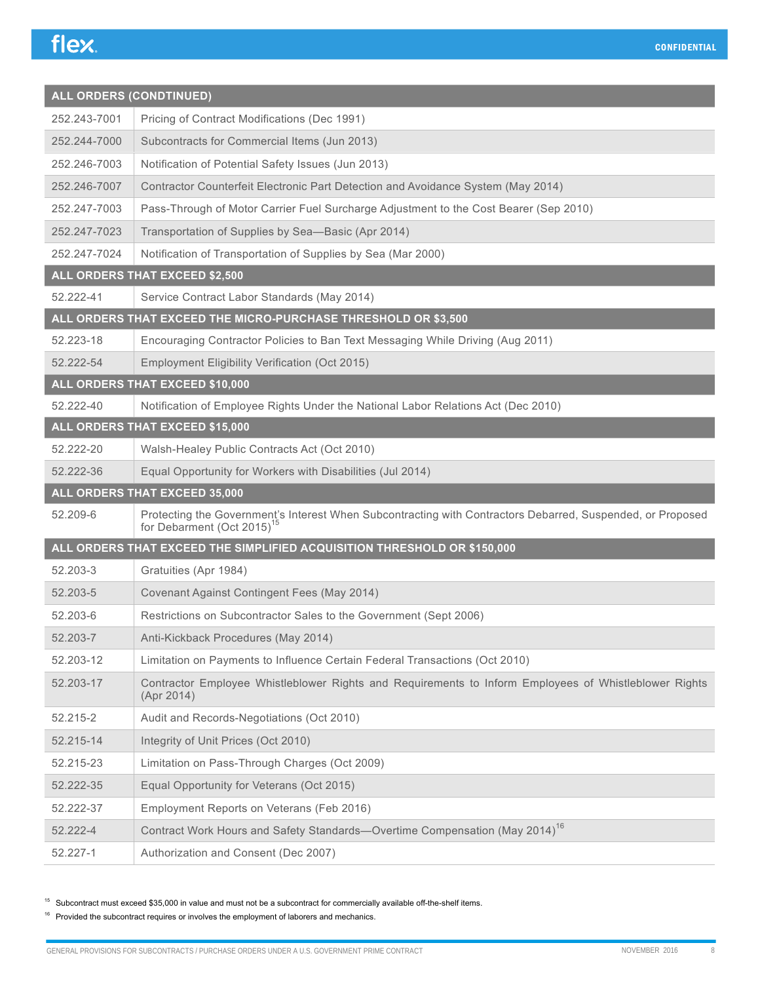| ALL ORDERS (CONDTINUED) |                                                                                                                                                      |  |
|-------------------------|------------------------------------------------------------------------------------------------------------------------------------------------------|--|
| 252.243-7001            | Pricing of Contract Modifications (Dec 1991)                                                                                                         |  |
| 252.244-7000            | Subcontracts for Commercial Items (Jun 2013)                                                                                                         |  |
| 252.246-7003            | Notification of Potential Safety Issues (Jun 2013)                                                                                                   |  |
| 252.246-7007            | Contractor Counterfeit Electronic Part Detection and Avoidance System (May 2014)                                                                     |  |
| 252.247-7003            | Pass-Through of Motor Carrier Fuel Surcharge Adjustment to the Cost Bearer (Sep 2010)                                                                |  |
| 252.247-7023            | Transportation of Supplies by Sea-Basic (Apr 2014)                                                                                                   |  |
| 252.247-7024            | Notification of Transportation of Supplies by Sea (Mar 2000)                                                                                         |  |
|                         | ALL ORDERS THAT EXCEED \$2,500                                                                                                                       |  |
| 52.222-41               | Service Contract Labor Standards (May 2014)                                                                                                          |  |
|                         | ALL ORDERS THAT EXCEED THE MICRO-PURCHASE THRESHOLD OR \$3,500                                                                                       |  |
| 52.223-18               | Encouraging Contractor Policies to Ban Text Messaging While Driving (Aug 2011)                                                                       |  |
| 52.222-54               | Employment Eligibility Verification (Oct 2015)                                                                                                       |  |
|                         | ALL ORDERS THAT EXCEED \$10,000                                                                                                                      |  |
| 52.222-40               | Notification of Employee Rights Under the National Labor Relations Act (Dec 2010)                                                                    |  |
|                         | ALL ORDERS THAT EXCEED \$15,000                                                                                                                      |  |
| 52.222-20               | Walsh-Healey Public Contracts Act (Oct 2010)                                                                                                         |  |
| 52.222-36               | Equal Opportunity for Workers with Disabilities (Jul 2014)                                                                                           |  |
|                         | ALL ORDERS THAT EXCEED 35,000                                                                                                                        |  |
| 52.209-6                | Protecting the Government's Interest When Subcontracting with Contractors Debarred, Suspended, or Proposed<br>for Debarment (Oct 2015) <sup>15</sup> |  |
|                         | ALL ORDERS THAT EXCEED THE SIMPLIFIED ACQUISITION THRESHOLD OR \$150,000                                                                             |  |
| 52.203-3                | Gratuities (Apr 1984)                                                                                                                                |  |
| 52.203-5                | Covenant Against Contingent Fees (May 2014)                                                                                                          |  |
| 52.203-6                | Restrictions on Subcontractor Sales to the Government (Sept 2006)                                                                                    |  |
| 52.203-7                | Anti-Kickback Procedures (May 2014)                                                                                                                  |  |
| 52.203-12               | Limitation on Payments to Influence Certain Federal Transactions (Oct 2010)                                                                          |  |
| 52.203-17               | Contractor Employee Whistleblower Rights and Requirements to Inform Employees of Whistleblower Rights<br>(Apr 2014)                                  |  |
| 52.215-2                | Audit and Records-Negotiations (Oct 2010)                                                                                                            |  |
| 52.215-14               | Integrity of Unit Prices (Oct 2010)                                                                                                                  |  |
| 52.215-23               | Limitation on Pass-Through Charges (Oct 2009)                                                                                                        |  |
| 52.222-35               | Equal Opportunity for Veterans (Oct 2015)                                                                                                            |  |
| 52.222-37               | Employment Reports on Veterans (Feb 2016)                                                                                                            |  |
| 52.222-4                | Contract Work Hours and Safety Standards-Overtime Compensation (May 2014) <sup>16</sup>                                                              |  |
| 52.227-1                | Authorization and Consent (Dec 2007)                                                                                                                 |  |

 $15$  Subcontract must exceed \$35,000 in value and must not be a subcontract for commercially available off-the-shelf items.

 $16$  Provided the subcontract requires or involves the employment of laborers and mechanics.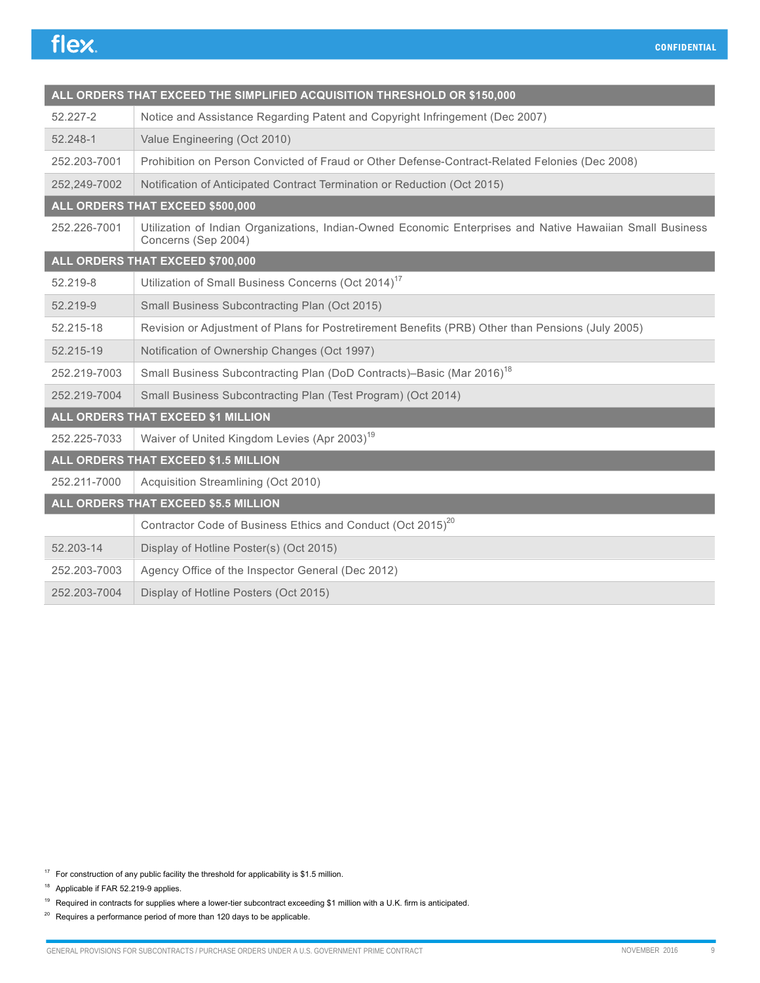| ALL ORDERS THAT EXCEED THE SIMPLIFIED ACQUISITION THRESHOLD OR \$150,000 |                                                                                                                                  |  |
|--------------------------------------------------------------------------|----------------------------------------------------------------------------------------------------------------------------------|--|
| 52.227-2                                                                 | Notice and Assistance Regarding Patent and Copyright Infringement (Dec 2007)                                                     |  |
| 52.248-1                                                                 | Value Engineering (Oct 2010)                                                                                                     |  |
| 252.203-7001                                                             | Prohibition on Person Convicted of Fraud or Other Defense-Contract-Related Felonies (Dec 2008)                                   |  |
| 252,249-7002                                                             | Notification of Anticipated Contract Termination or Reduction (Oct 2015)                                                         |  |
|                                                                          | ALL ORDERS THAT EXCEED \$500,000                                                                                                 |  |
| 252.226-7001                                                             | Utilization of Indian Organizations, Indian-Owned Economic Enterprises and Native Hawaiian Small Business<br>Concerns (Sep 2004) |  |
|                                                                          | ALL ORDERS THAT EXCEED \$700,000                                                                                                 |  |
| 52.219-8                                                                 | Utilization of Small Business Concerns (Oct 2014) <sup>17</sup>                                                                  |  |
| 52.219-9                                                                 | Small Business Subcontracting Plan (Oct 2015)                                                                                    |  |
| 52.215-18                                                                | Revision or Adjustment of Plans for Postretirement Benefits (PRB) Other than Pensions (July 2005)                                |  |
| 52.215-19                                                                | Notification of Ownership Changes (Oct 1997)                                                                                     |  |
| 252.219-7003                                                             | Small Business Subcontracting Plan (DoD Contracts)-Basic (Mar 2016) <sup>18</sup>                                                |  |
| 252.219-7004                                                             | Small Business Subcontracting Plan (Test Program) (Oct 2014)                                                                     |  |
| ALL ORDERS THAT EXCEED \$1 MILLION                                       |                                                                                                                                  |  |
| 252.225-7033                                                             | Waiver of United Kingdom Levies (Apr 2003) <sup>19</sup>                                                                         |  |
|                                                                          | ALL ORDERS THAT EXCEED \$1.5 MILLION                                                                                             |  |
| 252.211-7000                                                             | Acquisition Streamlining (Oct 2010)                                                                                              |  |
| ALL ORDERS THAT EXCEED \$5.5 MILLION                                     |                                                                                                                                  |  |
|                                                                          | Contractor Code of Business Ethics and Conduct (Oct 2015) <sup>20</sup>                                                          |  |
| 52.203-14                                                                | Display of Hotline Poster(s) (Oct 2015)                                                                                          |  |
| 252.203-7003                                                             | Agency Office of the Inspector General (Dec 2012)                                                                                |  |
| 252.203-7004                                                             | Display of Hotline Posters (Oct 2015)                                                                                            |  |

- $17$  For construction of any public facility the threshold for applicability is \$1.5 million.
- <sup>18</sup> Applicable if FAR 52.219-9 applies.
- $19$  Required in contracts for supplies where a lower-tier subcontract exceeding \$1 million with a U.K. firm is anticipated.
- $20$  Requires a performance period of more than 120 days to be applicable.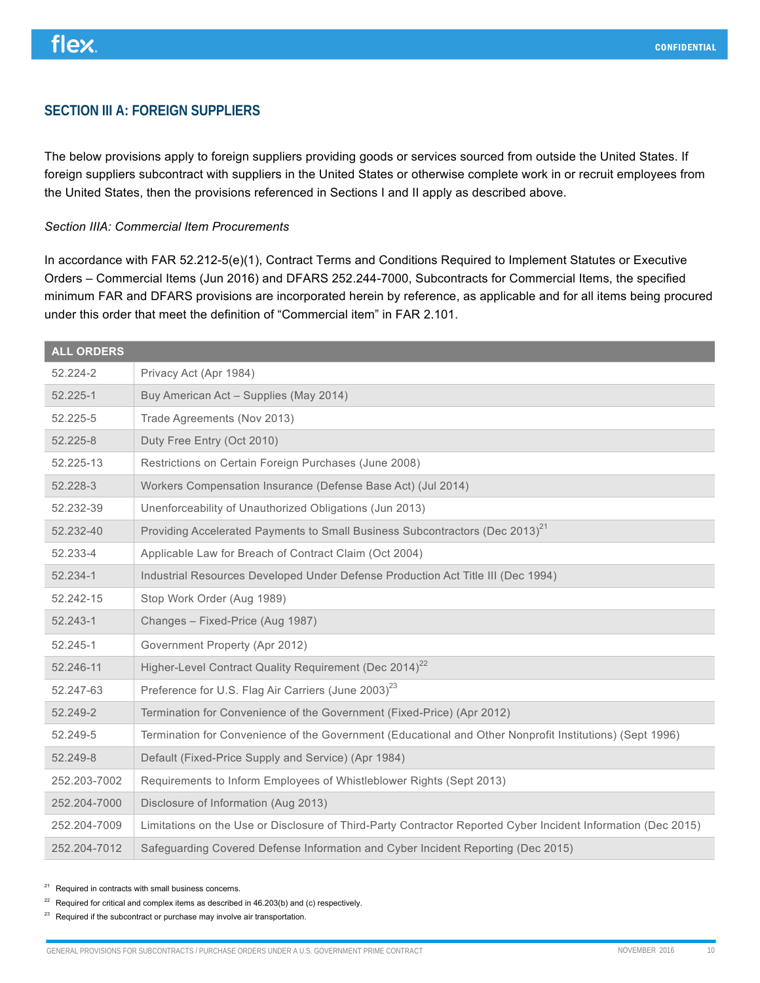### **SECTION III A: FOREIGN SUPPLIERS**

The below provisions apply to foreign suppliers providing goods or services sourced from outside the United States. If foreign suppliers subcontract with suppliers in the United States or otherwise complete work in or recruit employees from the United States, then the provisions referenced in Sections I and II apply as described above.

#### *Section IIIA: Commercial Item Procurements*

In accordance with FAR 52.212-5(e)(1), Contract Terms and Conditions Required to Implement Statutes or Executive Orders – Commercial Items (Jun 2016) and DFARS 252.244-7000, Subcontracts for Commercial Items, the specified minimum FAR and DFARS provisions are incorporated herein by reference, as applicable and for all items being procured under this order that meet the definition of "Commercial item" in FAR 2.101.

| <b>ALL ORDERS</b> |                                                                                                               |
|-------------------|---------------------------------------------------------------------------------------------------------------|
| 52.224-2          | Privacy Act (Apr 1984)                                                                                        |
| 52.225-1          | Buy American Act - Supplies (May 2014)                                                                        |
| 52.225-5          | Trade Agreements (Nov 2013)                                                                                   |
| 52.225-8          | Duty Free Entry (Oct 2010)                                                                                    |
| 52.225-13         | Restrictions on Certain Foreign Purchases (June 2008)                                                         |
| 52.228-3          | Workers Compensation Insurance (Defense Base Act) (Jul 2014)                                                  |
| 52.232-39         | Unenforceability of Unauthorized Obligations (Jun 2013)                                                       |
| 52.232-40         | Providing Accelerated Payments to Small Business Subcontractors (Dec 2013) <sup>21</sup>                      |
| 52.233-4          | Applicable Law for Breach of Contract Claim (Oct 2004)                                                        |
| 52.234-1          | Industrial Resources Developed Under Defense Production Act Title III (Dec 1994)                              |
| 52.242-15         | Stop Work Order (Aug 1989)                                                                                    |
| 52.243-1          | Changes - Fixed-Price (Aug 1987)                                                                              |
| 52.245-1          | Government Property (Apr 2012)                                                                                |
| 52.246-11         | Higher-Level Contract Quality Requirement (Dec 2014) <sup>22</sup>                                            |
| 52.247-63         | Preference for U.S. Flag Air Carriers (June 2003) <sup>23</sup>                                               |
| 52.249-2          | Termination for Convenience of the Government (Fixed-Price) (Apr 2012)                                        |
| 52.249-5          | Termination for Convenience of the Government (Educational and Other Nonprofit Institutions) (Sept 1996)      |
| 52.249-8          | Default (Fixed-Price Supply and Service) (Apr 1984)                                                           |
| 252.203-7002      | Requirements to Inform Employees of Whistleblower Rights (Sept 2013)                                          |
| 252.204-7000      | Disclosure of Information (Aug 2013)                                                                          |
| 252.204-7009      | Limitations on the Use or Disclosure of Third-Party Contractor Reported Cyber Incident Information (Dec 2015) |
| 252.204-7012      | Safeguarding Covered Defense Information and Cyber Incident Reporting (Dec 2015)                              |

<sup>21</sup> Required in contracts with small business concerns.

 $22$  Required for critical and complex items as described in 46.203(b) and (c) respectively.

 $23$  Required if the subcontract or purchase may involve air transportation.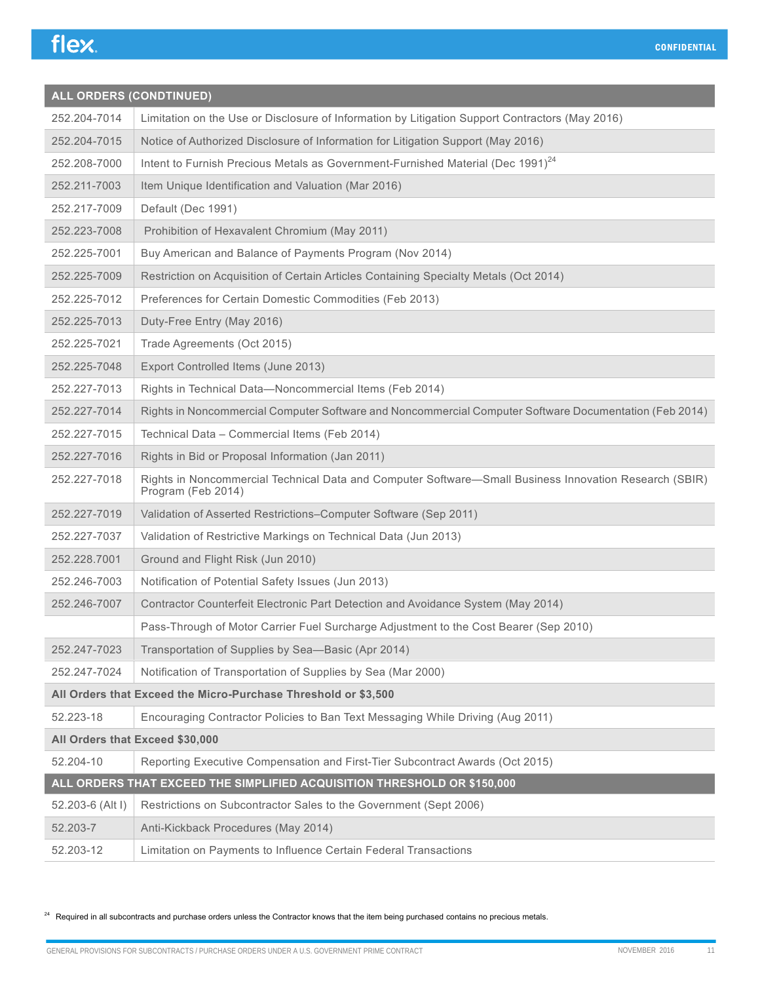| <b>ALL ORDERS (CONDTINUED)</b> |                                                                                                                              |  |
|--------------------------------|------------------------------------------------------------------------------------------------------------------------------|--|
| 252.204-7014                   | Limitation on the Use or Disclosure of Information by Litigation Support Contractors (May 2016)                              |  |
| 252.204-7015                   | Notice of Authorized Disclosure of Information for Litigation Support (May 2016)                                             |  |
| 252.208-7000                   | Intent to Furnish Precious Metals as Government-Furnished Material (Dec 1991) <sup>24</sup>                                  |  |
| 252.211-7003                   | Item Unique Identification and Valuation (Mar 2016)                                                                          |  |
| 252.217-7009                   | Default (Dec 1991)                                                                                                           |  |
| 252.223-7008                   | Prohibition of Hexavalent Chromium (May 2011)                                                                                |  |
| 252.225-7001                   | Buy American and Balance of Payments Program (Nov 2014)                                                                      |  |
| 252.225-7009                   | Restriction on Acquisition of Certain Articles Containing Specialty Metals (Oct 2014)                                        |  |
| 252.225-7012                   | Preferences for Certain Domestic Commodities (Feb 2013)                                                                      |  |
| 252.225-7013                   | Duty-Free Entry (May 2016)                                                                                                   |  |
| 252.225-7021                   | Trade Agreements (Oct 2015)                                                                                                  |  |
| 252.225-7048                   | Export Controlled Items (June 2013)                                                                                          |  |
| 252.227-7013                   | Rights in Technical Data-Noncommercial Items (Feb 2014)                                                                      |  |
| 252.227-7014                   | Rights in Noncommercial Computer Software and Noncommercial Computer Software Documentation (Feb 2014)                       |  |
| 252.227-7015                   | Technical Data - Commercial Items (Feb 2014)                                                                                 |  |
| 252.227-7016                   | Rights in Bid or Proposal Information (Jan 2011)                                                                             |  |
| 252.227-7018                   | Rights in Noncommercial Technical Data and Computer Software-Small Business Innovation Research (SBIR)<br>Program (Feb 2014) |  |
| 252.227-7019                   | Validation of Asserted Restrictions-Computer Software (Sep 2011)                                                             |  |
| 252.227-7037                   | Validation of Restrictive Markings on Technical Data (Jun 2013)                                                              |  |
| 252.228.7001                   | Ground and Flight Risk (Jun 2010)                                                                                            |  |
| 252.246-7003                   | Notification of Potential Safety Issues (Jun 2013)                                                                           |  |
| 252.246-7007                   | Contractor Counterfeit Electronic Part Detection and Avoidance System (May 2014)                                             |  |
|                                | Pass-Through of Motor Carrier Fuel Surcharge Adjustment to the Cost Bearer (Sep 2010)                                        |  |
| 252.247-7023                   | Transportation of Supplies by Sea-Basic (Apr 2014)                                                                           |  |
| 252.247-7024                   | Notification of Transportation of Supplies by Sea (Mar 2000)                                                                 |  |
|                                | All Orders that Exceed the Micro-Purchase Threshold or \$3,500                                                               |  |
| 52.223-18                      | Encouraging Contractor Policies to Ban Text Messaging While Driving (Aug 2011)                                               |  |
|                                | All Orders that Exceed \$30,000                                                                                              |  |
| 52.204-10                      | Reporting Executive Compensation and First-Tier Subcontract Awards (Oct 2015)                                                |  |
|                                | ALL ORDERS THAT EXCEED THE SIMPLIFIED ACQUISITION THRESHOLD OR \$150,000                                                     |  |
| 52.203-6 (Alt I)               | Restrictions on Subcontractor Sales to the Government (Sept 2006)                                                            |  |
| 52.203-7                       | Anti-Kickback Procedures (May 2014)                                                                                          |  |
| 52.203-12                      | Limitation on Payments to Influence Certain Federal Transactions                                                             |  |

<sup>24</sup> Required in all subcontracts and purchase orders unless the Contractor knows that the item being purchased contains no precious metals.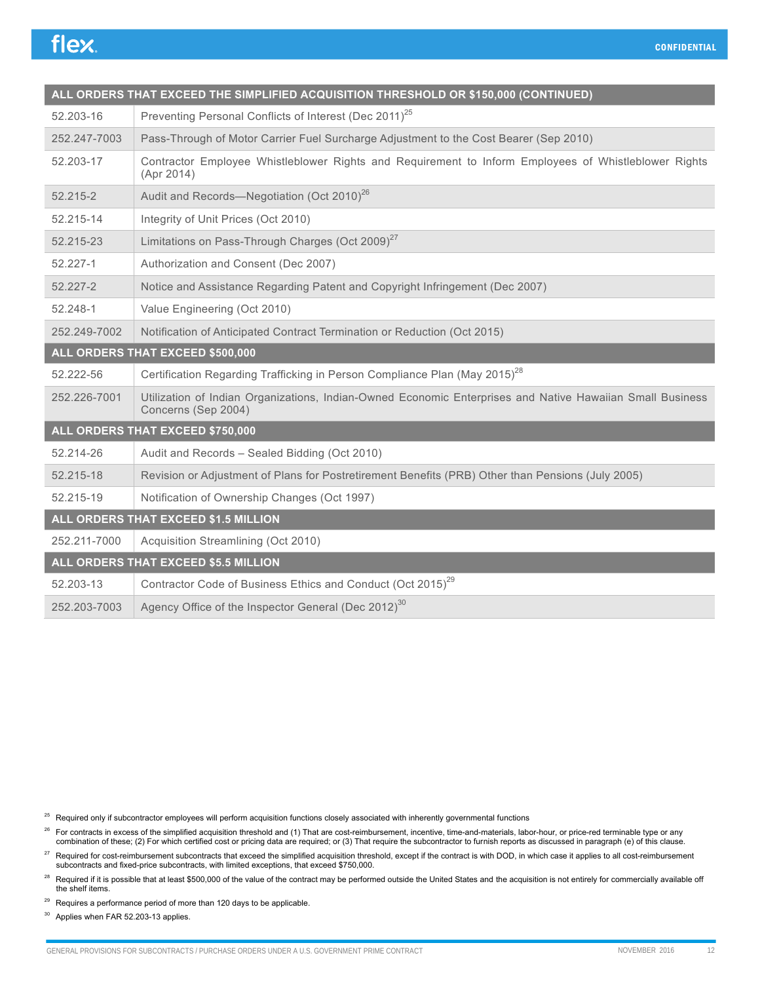| ALL ORDERS THAT EXCEED THE SIMPLIFIED ACQUISITION THRESHOLD OR \$150,000 (CONTINUED) |                                                                                                                                  |
|--------------------------------------------------------------------------------------|----------------------------------------------------------------------------------------------------------------------------------|
| 52.203-16                                                                            | Preventing Personal Conflicts of Interest (Dec 2011) <sup>25</sup>                                                               |
| 252.247-7003                                                                         | Pass-Through of Motor Carrier Fuel Surcharge Adjustment to the Cost Bearer (Sep 2010)                                            |
| 52.203-17                                                                            | Contractor Employee Whistleblower Rights and Requirement to Inform Employees of Whistleblower Rights<br>(Apr 2014)               |
| 52.215-2                                                                             | Audit and Records—Negotiation (Oct 2010) <sup>26</sup>                                                                           |
| 52.215-14                                                                            | Integrity of Unit Prices (Oct 2010)                                                                                              |
| 52.215-23                                                                            | Limitations on Pass-Through Charges (Oct 2009) <sup>27</sup>                                                                     |
| 52.227-1                                                                             | Authorization and Consent (Dec 2007)                                                                                             |
| 52.227-2                                                                             | Notice and Assistance Regarding Patent and Copyright Infringement (Dec 2007)                                                     |
| 52.248-1                                                                             | Value Engineering (Oct 2010)                                                                                                     |
| 252.249-7002                                                                         | Notification of Anticipated Contract Termination or Reduction (Oct 2015)                                                         |
|                                                                                      | ALL ORDERS THAT EXCEED \$500,000                                                                                                 |
| 52.222-56                                                                            | Certification Regarding Trafficking in Person Compliance Plan (May 2015) <sup>28</sup>                                           |
| 252.226-7001                                                                         | Utilization of Indian Organizations, Indian-Owned Economic Enterprises and Native Hawaiian Small Business<br>Concerns (Sep 2004) |
|                                                                                      | ALL ORDERS THAT EXCEED \$750,000                                                                                                 |
| 52.214-26                                                                            | Audit and Records - Sealed Bidding (Oct 2010)                                                                                    |
| 52.215-18                                                                            | Revision or Adjustment of Plans for Postretirement Benefits (PRB) Other than Pensions (July 2005)                                |
| 52.215-19                                                                            | Notification of Ownership Changes (Oct 1997)                                                                                     |
| ALL ORDERS THAT EXCEED \$1.5 MILLION                                                 |                                                                                                                                  |
| 252.211-7000                                                                         | Acquisition Streamlining (Oct 2010)                                                                                              |
|                                                                                      | ALL ORDERS THAT EXCEED \$5.5 MILLION                                                                                             |
| 52.203-13                                                                            | Contractor Code of Business Ethics and Conduct (Oct 2015) <sup>29</sup>                                                          |
| 252.203-7003                                                                         | Agency Office of the Inspector General (Dec 2012) <sup>30</sup>                                                                  |

 $25$  Required only if subcontractor employees will perform acquisition functions closely associated with inherently governmental functions

- <sup>26</sup> For contracts in excess of the simplified acquisition threshold and (1) That are cost-reimbursement, incentive, time-and-materials, labor-hour, or price-red terminable type or any combination of these; (2) For which certified cost or pricing data are required; or (3) That require the subcontractor to furnish reports as discussed in paragraph (e) of this clause.
- <sup>27</sup> Required for cost-reimbursement subcontracts that exceed the simplified acquisition threshold, except if the contract is with DOD, in which case it applies to all cost-reimbursement<br>subcontracts and fixed-price subcon
- <sup>28</sup> Required if it is possible that at least \$500,000 of the value of the contract may be performed outside the United States and the acquisition is not entirely for commercially available off the shelf items.
- $29$  Requires a performance period of more than 120 days to be applicable.

<sup>30</sup> Applies when FAR 52.203-13 applies.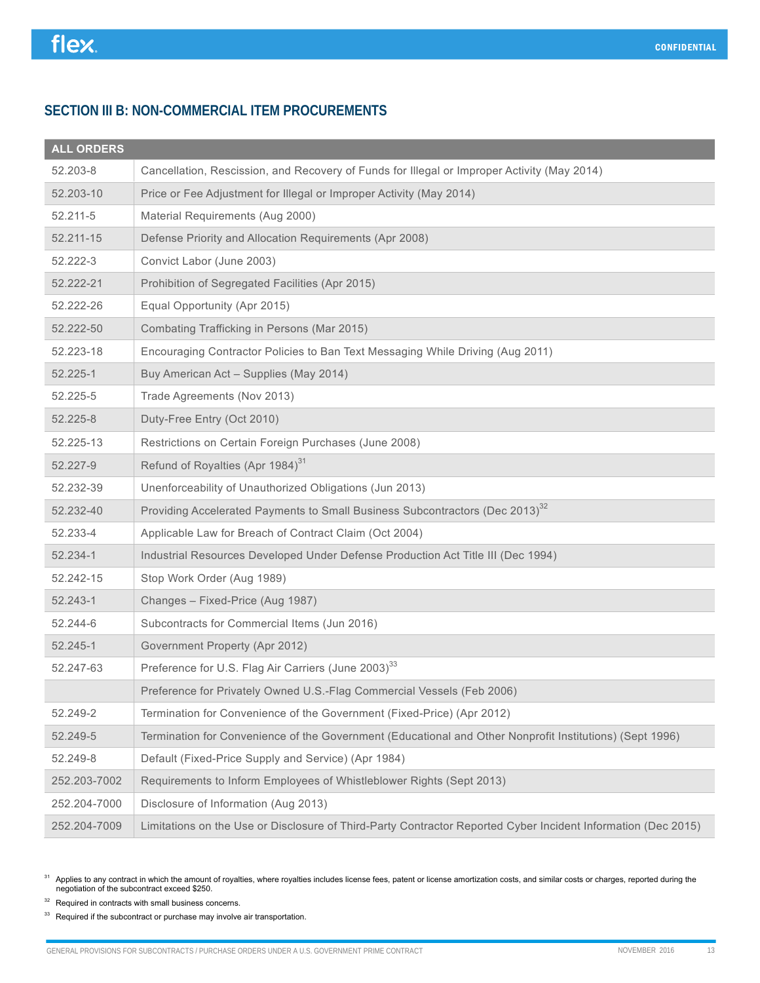### **SECTION III B: NON-COMMERCIAL ITEM PROCUREMENTS**

### **ALL ORDERS**

| 52.203-8     | Cancellation, Rescission, and Recovery of Funds for Illegal or Improper Activity (May 2014)                   |
|--------------|---------------------------------------------------------------------------------------------------------------|
| 52.203-10    | Price or Fee Adjustment for Illegal or Improper Activity (May 2014)                                           |
| 52.211-5     | Material Requirements (Aug 2000)                                                                              |
| 52.211-15    | Defense Priority and Allocation Requirements (Apr 2008)                                                       |
| 52.222-3     | Convict Labor (June 2003)                                                                                     |
| 52.222-21    | Prohibition of Segregated Facilities (Apr 2015)                                                               |
| 52.222-26    | Equal Opportunity (Apr 2015)                                                                                  |
| 52.222-50    | Combating Trafficking in Persons (Mar 2015)                                                                   |
| 52.223-18    | Encouraging Contractor Policies to Ban Text Messaging While Driving (Aug 2011)                                |
| 52.225-1     | Buy American Act - Supplies (May 2014)                                                                        |
| 52.225-5     | Trade Agreements (Nov 2013)                                                                                   |
| 52.225-8     | Duty-Free Entry (Oct 2010)                                                                                    |
| 52.225-13    | Restrictions on Certain Foreign Purchases (June 2008)                                                         |
| 52.227-9     | Refund of Royalties (Apr 1984) <sup>31</sup>                                                                  |
| 52.232-39    | Unenforceability of Unauthorized Obligations (Jun 2013)                                                       |
| 52.232-40    | Providing Accelerated Payments to Small Business Subcontractors (Dec 2013) <sup>32</sup>                      |
| 52.233-4     | Applicable Law for Breach of Contract Claim (Oct 2004)                                                        |
| 52.234-1     | Industrial Resources Developed Under Defense Production Act Title III (Dec 1994)                              |
| 52.242-15    | Stop Work Order (Aug 1989)                                                                                    |
| 52.243-1     | Changes - Fixed-Price (Aug 1987)                                                                              |
| 52.244-6     | Subcontracts for Commercial Items (Jun 2016)                                                                  |
| 52.245-1     | Government Property (Apr 2012)                                                                                |
| 52.247-63    | Preference for U.S. Flag Air Carriers (June 2003) <sup>33</sup>                                               |
|              | Preference for Privately Owned U.S.-Flag Commercial Vessels (Feb 2006)                                        |
| 52.249-2     | Termination for Convenience of the Government (Fixed-Price) (Apr 2012)                                        |
| 52.249-5     | Termination for Convenience of the Government (Educational and Other Nonprofit Institutions) (Sept 1996)      |
| 52.249-8     | Default (Fixed-Price Supply and Service) (Apr 1984)                                                           |
| 252.203-7002 | Requirements to Inform Employees of Whistleblower Rights (Sept 2013)                                          |
| 252.204-7000 | Disclosure of Information (Aug 2013)                                                                          |
| 252.204-7009 | Limitations on the Use or Disclosure of Third-Party Contractor Reported Cyber Incident Information (Dec 2015) |

<sup>31</sup> Applies to any contract in which the amount of royalties, where royalties includes license fees, patent or license amortization costs, and similar costs or charges, reported during the negotiation of the subcontract e

<sup>32</sup> Required in contracts with small business concerns.

 $33$  Required if the subcontract or purchase may involve air transportation.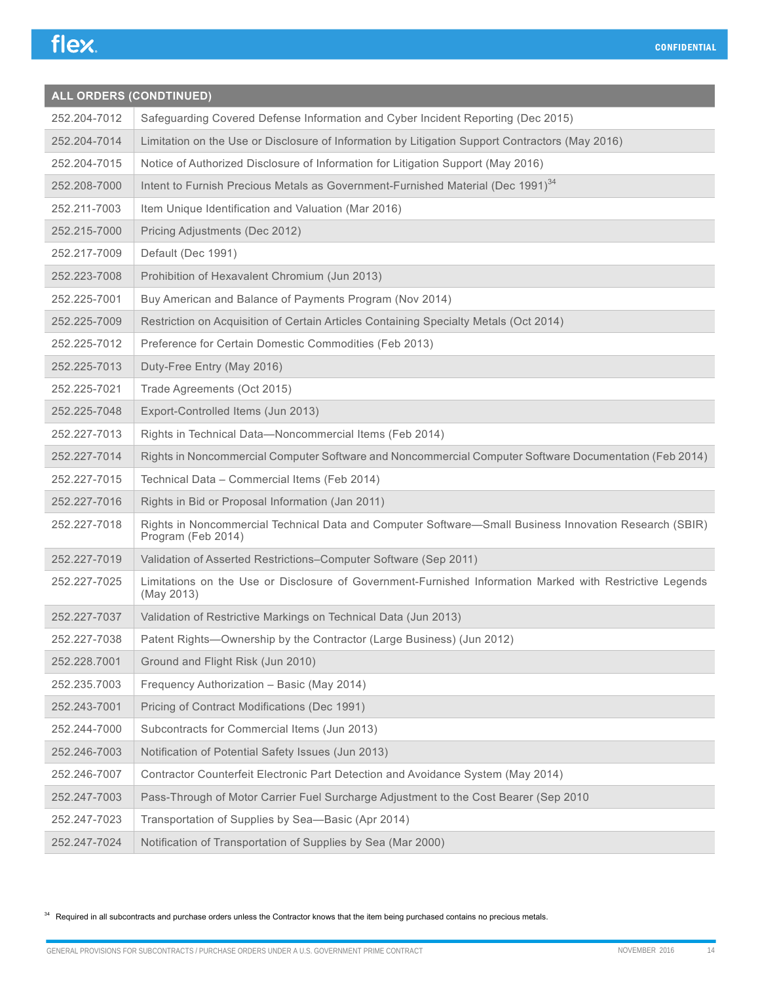| ALL ORDERS (CONDTINUED) |                                                                                                                              |
|-------------------------|------------------------------------------------------------------------------------------------------------------------------|
| 252.204-7012            | Safeguarding Covered Defense Information and Cyber Incident Reporting (Dec 2015)                                             |
| 252.204-7014            | Limitation on the Use or Disclosure of Information by Litigation Support Contractors (May 2016)                              |
| 252.204-7015            | Notice of Authorized Disclosure of Information for Litigation Support (May 2016)                                             |
| 252.208-7000            | Intent to Furnish Precious Metals as Government-Furnished Material (Dec 1991) <sup>34</sup>                                  |
| 252.211-7003            | Item Unique Identification and Valuation (Mar 2016)                                                                          |
| 252.215-7000            | Pricing Adjustments (Dec 2012)                                                                                               |
| 252.217-7009            | Default (Dec 1991)                                                                                                           |
| 252.223-7008            | Prohibition of Hexavalent Chromium (Jun 2013)                                                                                |
| 252.225-7001            | Buy American and Balance of Payments Program (Nov 2014)                                                                      |
| 252.225-7009            | Restriction on Acquisition of Certain Articles Containing Specialty Metals (Oct 2014)                                        |
| 252.225-7012            | Preference for Certain Domestic Commodities (Feb 2013)                                                                       |
| 252.225-7013            | Duty-Free Entry (May 2016)                                                                                                   |
| 252.225-7021            | Trade Agreements (Oct 2015)                                                                                                  |
| 252.225-7048            | Export-Controlled Items (Jun 2013)                                                                                           |
| 252.227-7013            | Rights in Technical Data-Noncommercial Items (Feb 2014)                                                                      |
| 252.227-7014            | Rights in Noncommercial Computer Software and Noncommercial Computer Software Documentation (Feb 2014)                       |
| 252.227-7015            | Technical Data - Commercial Items (Feb 2014)                                                                                 |
| 252.227-7016            | Rights in Bid or Proposal Information (Jan 2011)                                                                             |
| 252.227-7018            | Rights in Noncommercial Technical Data and Computer Software-Small Business Innovation Research (SBIR)<br>Program (Feb 2014) |
| 252.227-7019            | Validation of Asserted Restrictions-Computer Software (Sep 2011)                                                             |
| 252.227-7025            | Limitations on the Use or Disclosure of Government-Furnished Information Marked with Restrictive Legends<br>(May 2013)       |
| 252.227-7037            | Validation of Restrictive Markings on Technical Data (Jun 2013)                                                              |
| 252.227-7038            | Patent Rights-Ownership by the Contractor (Large Business) (Jun 2012)                                                        |
| 252.228.7001            | Ground and Flight Risk (Jun 2010)                                                                                            |
| 252.235.7003            | Frequency Authorization - Basic (May 2014)                                                                                   |
| 252.243-7001            | Pricing of Contract Modifications (Dec 1991)                                                                                 |
| 252.244-7000            | Subcontracts for Commercial Items (Jun 2013)                                                                                 |
| 252.246-7003            | Notification of Potential Safety Issues (Jun 2013)                                                                           |
| 252.246-7007            | Contractor Counterfeit Electronic Part Detection and Avoidance System (May 2014)                                             |
| 252.247-7003            | Pass-Through of Motor Carrier Fuel Surcharge Adjustment to the Cost Bearer (Sep 2010                                         |
| 252.247-7023            | Transportation of Supplies by Sea-Basic (Apr 2014)                                                                           |
| 252.247-7024            | Notification of Transportation of Supplies by Sea (Mar 2000)                                                                 |

<sup>34</sup> Required in all subcontracts and purchase orders unless the Contractor knows that the item being purchased contains no precious metals.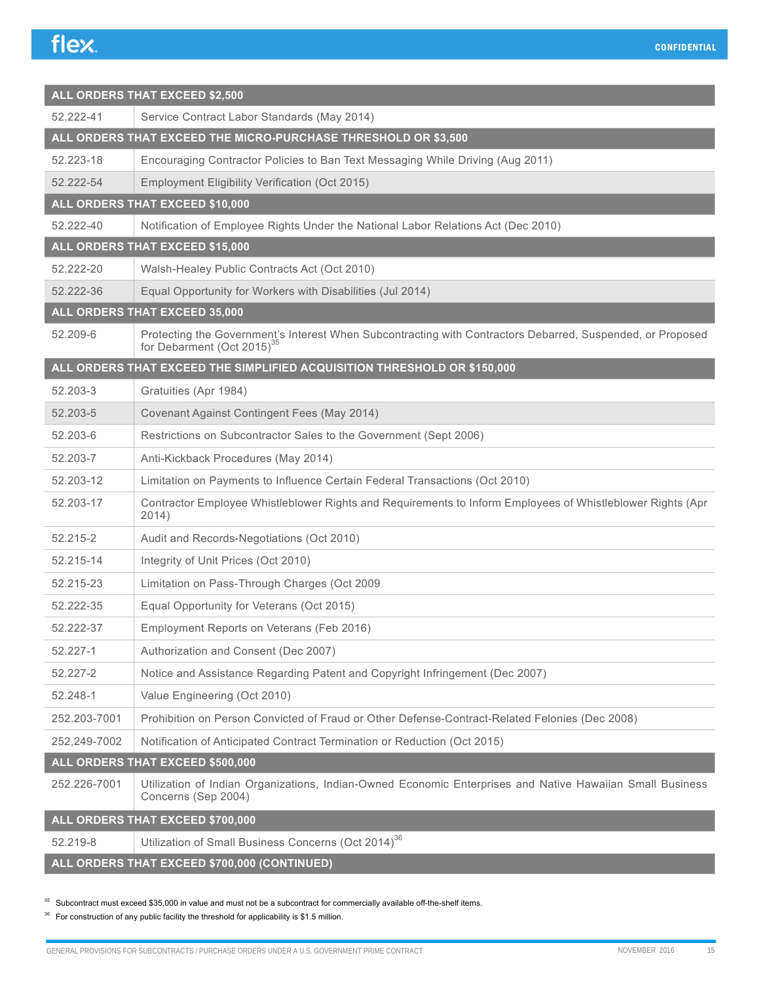| <b>ALL ORDERS THAT EXCEED \$2,500</b> |                                                                                                                                                      |  |
|---------------------------------------|------------------------------------------------------------------------------------------------------------------------------------------------------|--|
| 52.222-41                             | Service Contract Labor Standards (May 2014)                                                                                                          |  |
|                                       | ALL ORDERS THAT EXCEED THE MICRO-PURCHASE THRESHOLD OR \$3,500                                                                                       |  |
| 52.223-18                             | Encouraging Contractor Policies to Ban Text Messaging While Driving (Aug 2011)                                                                       |  |
| 52.222-54                             | Employment Eligibility Verification (Oct 2015)                                                                                                       |  |
|                                       | ALL ORDERS THAT EXCEED \$10,000                                                                                                                      |  |
| 52.222-40                             | Notification of Employee Rights Under the National Labor Relations Act (Dec 2010)                                                                    |  |
|                                       | ALL ORDERS THAT EXCEED \$15,000                                                                                                                      |  |
| 52.222-20                             | Walsh-Healey Public Contracts Act (Oct 2010)                                                                                                         |  |
| 52.222-36                             | Equal Opportunity for Workers with Disabilities (Jul 2014)                                                                                           |  |
|                                       | ALL ORDERS THAT EXCEED 35,000                                                                                                                        |  |
| 52.209-6                              | Protecting the Government's Interest When Subcontracting with Contractors Debarred, Suspended, or Proposed<br>for Debarment (Oct 2015) <sup>35</sup> |  |
|                                       | ALL ORDERS THAT EXCEED THE SIMPLIFIED ACQUISITION THRESHOLD OR \$150,000                                                                             |  |
| 52.203-3                              | Gratuities (Apr 1984)                                                                                                                                |  |
| 52.203-5                              | Covenant Against Contingent Fees (May 2014)                                                                                                          |  |
| 52.203-6                              | Restrictions on Subcontractor Sales to the Government (Sept 2006)                                                                                    |  |
| 52.203-7                              | Anti-Kickback Procedures (May 2014)                                                                                                                  |  |
| 52.203-12                             | Limitation on Payments to Influence Certain Federal Transactions (Oct 2010)                                                                          |  |
| 52.203-17                             | Contractor Employee Whistleblower Rights and Requirements to Inform Employees of Whistleblower Rights (Apr<br>2014)                                  |  |
| 52.215-2                              | Audit and Records-Negotiations (Oct 2010)                                                                                                            |  |
| 52.215-14                             | Integrity of Unit Prices (Oct 2010)                                                                                                                  |  |
| 52.215-23                             | Limitation on Pass-Through Charges (Oct 2009                                                                                                         |  |
| 52.222-35                             | Equal Opportunity for Veterans (Oct 2015)                                                                                                            |  |
| 52.222-37                             | Employment Reports on Veterans (Feb 2016)                                                                                                            |  |
| 52.227-1                              | Authorization and Consent (Dec 2007)                                                                                                                 |  |
| 52.227-2                              | Notice and Assistance Regarding Patent and Copyright Infringement (Dec 2007)                                                                         |  |
| 52.248-1                              | Value Engineering (Oct 2010)                                                                                                                         |  |
| 252.203-7001                          | Prohibition on Person Convicted of Fraud or Other Defense-Contract-Related Felonies (Dec 2008)                                                       |  |
| 252,249-7002                          | Notification of Anticipated Contract Termination or Reduction (Oct 2015)                                                                             |  |
|                                       | ALL ORDERS THAT EXCEED \$500,000                                                                                                                     |  |
| 252.226-7001                          | Utilization of Indian Organizations, Indian-Owned Economic Enterprises and Native Hawaiian Small Business<br>Concerns (Sep 2004)                     |  |
|                                       | ALL ORDERS THAT EXCEED \$700,000                                                                                                                     |  |
| 52.219-8                              | Utilization of Small Business Concerns (Oct 2014) <sup>36</sup>                                                                                      |  |

**ALL ORDERS THAT EXCEED \$700,000 (CONTINUED)**

 $35$  Subcontract must exceed \$35,000 in value and must not be a subcontract for commercially available off-the-shelf items.

 $36$  For construction of any public facility the threshold for applicability is \$1.5 million.